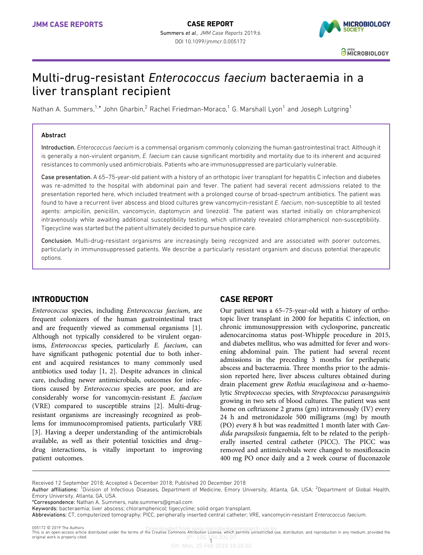

# Multi-drug-resistant Enterococcus faecium bacteraemia in a liver transplant recipient

Nathan A. Summers,<sup>1,\*</sup> John Gharbin,<sup>2</sup> Rachel Friedman-Moraco,<sup>1</sup> G. Marshall Lyon<sup>1</sup> and Joseph Lutgring<sup>1</sup>

### Abstract

Introduction. Enterococcus faecium is a commensal organism commonly colonizing the human gastrointestinal tract. Although it is generally a non-virulent organism, E. faecium can cause significant morbidity and mortality due to its inherent and acquired resistances to commonly used antimicrobials. Patients who are immunosuppressed are particularly vulnerable.

Case presentation. A 65–75-year-old patient with a history of an orthotopic liver transplant for hepatitis C infection and diabetes was re-admitted to the hospital with abdominal pain and fever. The patient had several recent admissions related to the presentation reported here, which included treatment with a prolonged course of broad-spectrum antibiotics. The patient was found to have a recurrent liver abscess and blood cultures grew vancomycin-resistant E. faecium, non-susceptible to all tested agents: ampicillin, penicillin, vancomycin, daptomycin and linezolid. The patient was started initially on chloramphenicol intravenously while awaiting additional susceptibility testing, which ultimately revealed chloramphenicol non-susceptibility. Tigecycline was started but the patient ultimately decided to pursue hospice care.

Conclusion. Multi-drug-resistant organisms are increasingly being recognized and are associated with poorer outcomes, particularly in immunosuppressed patients. We describe a particularly resistant organism and discuss potential therapeutic options.

# INTRODUCTION

Enterococcus species, including Enterococcus faecium, are frequent colonizers of the human gastrointestinal tract and are frequently viewed as commensal organisms [\[1\]](#page-2-0). Although not typically considered to be virulent organisms, Enterococcus species, particularly E. faecium, can have significant pathogenic potential due to both inherent and acquired resistances to many commonly used antibiotics used today [\[1, 2](#page-2-0)]. Despite advances in clinical care, including newer antimicrobials, outcomes for infections caused by Enterococcus species are poor, and are considerably worse for vancomycin-resistant E. faecium (VRE) compared to susceptible strains [\[2](#page-2-0)]. Multi-drugresistant organisms are increasingly recognized as problems for immunocompromised patients, particularly VRE [[3](#page-2-0)]. Having a deeper understanding of the antimicrobials available, as well as their potential toxicities and drug– drug interactions, is vitally important to improving patient outcomes.

# CASE REPORT

Our patient was a 65–75-year-old with a history of orthotopic liver transplant in 2000 for hepatitis C infection, on chronic immunosuppression with cyclosporine, pancreatic adenocarcinoma status post-Whipple procedure in 2015, and diabetes mellitus, who was admitted for fever and worsening abdominal pain. The patient had several recent admissions in the preceding 3 months for perihepatic abscess and bacteraemia. Three months prior to the admission reported here, liver abscess cultures obtained during drain placement grew Rothia mucilaginosa and  $\alpha$ -haemolytic Streptococcus species, with Streptococcus parasanguinis growing in two sets of blood cultures. The patient was sent home on ceftriaxone 2 grams (gm) intravenously (IV) every 24 h and metronidazole 500 milligrams (mg) by mouth (PO) every 8 h but was readmitted 1 month later with Candida parapsilosis fungaemia, felt to be related to the peripherally inserted central catheter (PICC). The PICC was removed and antimicrobials were changed to moxifloxacin 400 mg PO once daily and a 2 week course of fluconazole

Received 12 September 2018; Accepted 4 December 2018; Published 20 December 2018

\*Correspondence: Nathan A. Summers, [nate.summers@gmail.com](mailto:nate.summers@gmail.com)

Keywords: bacteraemia; liver abscess; chloramphenicol; tigecycline; solid organ transplant.

Abbreviations: CT, computerized tomography; PICC, peripherally inserted central catheter; VRE, vancomycin-resistant Enterococcus faecium.

005172 © 2019 The Authors<br>This is an open-access article distributed under the terms of the Creative Commons Attribution License, which permits unrestricted use, distribution, and reproduction in any medium, provided the IP: 105.184.201.97 1005172 @ 2019 The Authors original work is properly cited.

On: Mon, 25 Feb 2019 19:26:02

Author affiliations: <sup>1</sup>Division of Infectious Diseases, Department of Medicine, Emory University, Atlanta, GA, USA; <sup>2</sup>Department of Global Health, Emory University, Atlanta, GA, USA.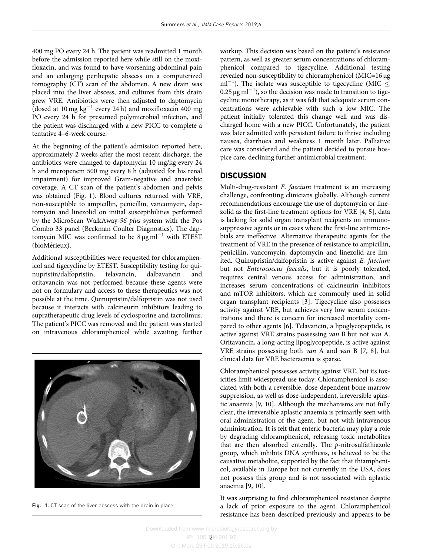400 mg PO every 24 h. The patient was readmitted 1 month before the admission reported here while still on the moxifloxacin, and was found to have worsening abdominal pain and an enlarging perihepatic abscess on a computerized tomography (CT) scan of the abdomen. A new drain was placed into the liver abscess, and cultures from this drain grew VRE. Antibiotics were then adjusted to daptomycin (dosed at 10 mg  $kg^{-1}$  every 24 h) and moxifloxacin 400 mg PO every 24 h for presumed polymicrobial infection, and the patient was discharged with a new PICC to complete a tentative 4–6-week course.

At the beginning of the patient's admission reported here, approximately 2 weeks after the most recent discharge, the antibiotics were changed to daptomycin 10 mg/kg every 24 h and meropenem 500 mg every 8 h (adjusted for his renal impairment) for improved Gram-negative and anaerobic coverage. A CT scan of the patient's abdomen and pelvis was obtained (Fig. 1). Blood cultures returned with VRE, non-susceptible to ampicillin, penicillin, vancomycin, daptomycin and linezolid on initial susceptibilities performed by the MicroScan WalkAway-96 plus system with the Pos Combo 33 panel (Beckman Coulter Diagnostics). The daptomycin MIC was confirmed to be  $8 \mu g \text{ ml}^{-1}$  with ETEST (bioMérieux).

Additional susceptibilities were requested for chloramphenicol and tigecycline by ETEST. Susceptibility testing for quinquential for equinquential contraction of the material of the medial of the medial of the medial contraction of the medial of the medial contraction of the medi nupristin/dalfopristin, telavancin, dalbavancin and oritavancin was not performed because these agents were not on formulary and access to these therapeutics was not possible at the time. Quinupristin/dalfopristin was not used because it interacts with calcineurin inhibitors leading to supratherapeutic drug levels of cyclosporine and tacrolimus. The patient's PICC was removed and the patient was started on intravenous chloramphenicol while awaiting further



Fig. 1. CT scan of the liver abscess with the drain in place.

workup. This decision was based on the patient's resistance pattern, as well as greater serum concentrations of chloramphenicol compared to tigecycline. Additional testing revealed non-susceptibility to chloramphenicol (MIC=16 µg ml<sup>-1</sup>). The isolate was susceptible to tigecycline (MIC  $\leq$  $0.25 \,\mathrm{\mu g\,ml^{-1}}$ ), so the decision was made to transition to tigecycline monotherapy, as it was felt that adequate serum concentrations were achievable with such a low MIC. The patient initially tolerated this change well and was discharged home with a new PICC. Unfortunately, the patient was later admitted with persistent failure to thrive including nausea, diarrhoea and weakness 1 month later. Palliative care was considered and the patient decided to pursue hospice care, declining further antimicrobial treatment.

# **DISCUSSION**

Multi-drug-resistant E. faecium treatment is an increasing challenge, confronting clinicians globally. Although current recommendations encourage the use of daptomycin or linezolid as the first-line treatment options for VRE [\[4, 5\]](#page-2-0), data is lacking for solid organ transplant recipients on immunosuppressive agents or in cases where the first-line antimicrobials are ineffective. Alternative therapeutic agents for the treatment of VRE in the presence of resistance to ampicillin, penicillin, vancomycin, daptomycin and linezolid are limited. Quinupristin/dalfopristin is active against E. faecium but not Enterococcus faecalis, but it is poorly tolerated, requires central venous access for administration, and increases serum concentrations of calcineurin inhibitors and mTOR inhibitors, which are commonly used in solid organ transplant recipients [[3](#page-2-0)]. Tigecycline also possesses activity against VRE, but achieves very low serum concentrations and there is concern for increased mortality compared to other agents [\[6](#page-2-0)]. Telavancin, a lipoglycopeptide, is active against VRE strains possessing van B but not van A. Oritavancin, a long-acting lipoglycopeptide, is active against VRE strains possessing both van A and van B [[7, 8](#page-2-0)], but clinical data for VRE bacteraemia is sparse.

Chloramphenicol possesses activity against VRE, but its toxicities limit widespread use today. Chloramphenicol is associated with both a reversible, dose-dependent bone marrow suppression, as well as dose-independent, irreversible aplastic anaemia [[9, 10](#page-2-0)]. Although the mechanisms are not fully clear, the irreversible aplastic anaemia is primarily seen with oral administration of the agent, but not with intravenous administration. It is felt that enteric bacteria may play a role by degrading chloramphenicol, releasing toxic metabolites that are then absorbed enterally. The p-nitrosulfathiazole group, which inhibits DNA synthesis, is believed to be the causative metabolite, supported by the fact that thiamphenicol, available in Europe but not currently in the USA, does not possess this group and is not associated with aplastic anaemia [\[9, 10](#page-2-0)].

It was surprising to find chloramphenicol resistance despite a lack of prior exposure to the agent. Chloramphenicol resistance has been described previously and appears to be